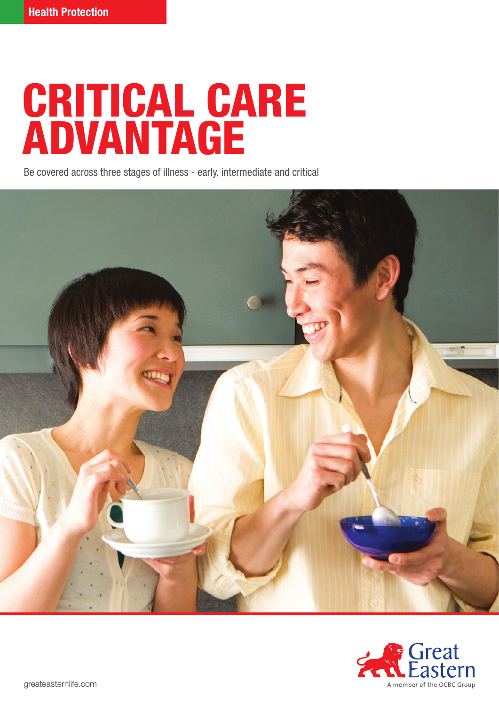# CRITICAL CARE ADVANTAGE

Be covered across three stages of illness - early, intermediate and critical



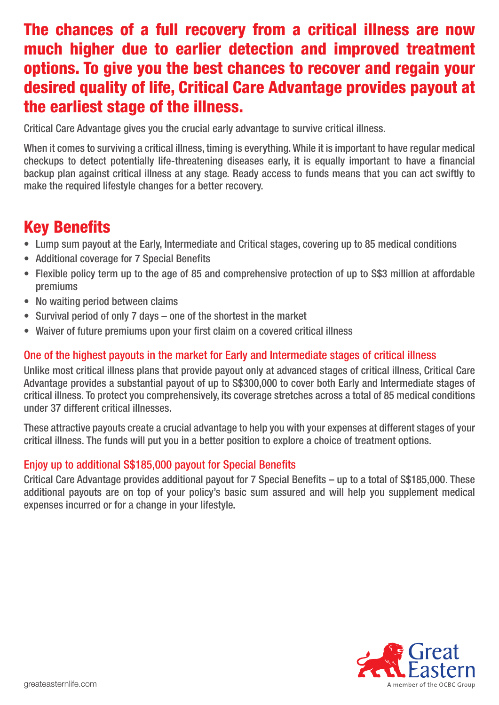# The chances of a full recovery from a critical illness are now much higher due to earlier detection and improved treatment options. To give you the best chances to recover and regain your desired quality of life, Critical Care Advantage provides payout at the earliest stage of the illness.

Critical Care Advantage gives you the crucial early advantage to survive critical illness.

When it comes to surviving a critical illness, timing is everything. While it is important to have regular medical checkups to detect potentially life-threatening diseases early, it is equally important to have a financial backup plan against critical illness at any stage. Ready access to funds means that you can act swiftly to make the required lifestyle changes for a better recovery.

# Key Benefits

- Lump sum payout at the Early, Intermediate and Critical stages, covering up to 85 medical conditions
- Additional coverage for 7 Special Benefits
- Flexible policy term up to the age of 85 and comprehensive protection of up to S\$3 million at affordable premiums
- No waiting period between claims
- Survival period of only 7 days one of the shortest in the market
- Waiver of future premiums upon your first claim on a covered critical illness

### One of the highest payouts in the market for Early and Intermediate stages of critical illness

Unlike most critical illness plans that provide payout only at advanced stages of critical illness, Critical Care Advantage provides a substantial payout of up to S\$300,000 to cover both Early and Intermediate stages of critical illness. To protect you comprehensively, its coverage stretches across a total of 85 medical conditions under 37 different critical illnesses.

These attractive payouts create a crucial advantage to help you with your expenses at different stages of your critical illness. The funds will put you in a better position to explore a choice of treatment options.

## Enjoy up to additional S\$185,000 payout for Special Benefits

Critical Care Advantage provides additional payout for 7 Special Benefits – up to a total of S\$185,000. These additional payouts are on top of your policy's basic sum assured and will help you supplement medical expenses incurred or for a change in your lifestyle.

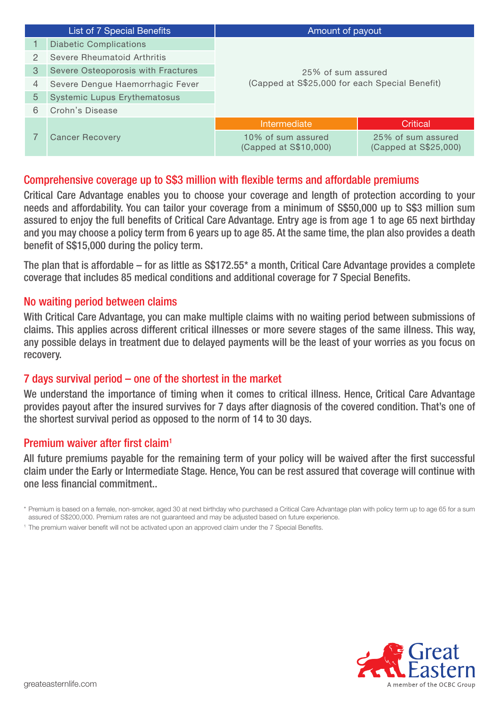| List of 7 Special Benefits |                                     | Amount of payout                                                     |                                             |  |  |
|----------------------------|-------------------------------------|----------------------------------------------------------------------|---------------------------------------------|--|--|
|                            | <b>Diabetic Complications</b>       |                                                                      |                                             |  |  |
| $\mathcal{P}$              | Severe Rheumatoid Arthritis         |                                                                      |                                             |  |  |
| 3                          | Severe Osteoporosis with Fractures  | 25% of sum assured<br>(Capped at S\$25,000 for each Special Benefit) |                                             |  |  |
| 4                          | Severe Dengue Haemorrhagic Fever    |                                                                      |                                             |  |  |
| 5                          | <b>Systemic Lupus Erythematosus</b> |                                                                      |                                             |  |  |
| 6                          | Crohn's Disease                     |                                                                      |                                             |  |  |
|                            | <b>Cancer Recovery</b>              | Intermediate                                                         | <b>Critical</b>                             |  |  |
|                            |                                     | 10% of sum assured<br>(Capped at S\$10,000)                          | 25% of sum assured<br>(Capped at S\$25,000) |  |  |

#### Comprehensive coverage up to S\$3 million with flexible terms and affordable premiums

Critical Care Advantage enables you to choose your coverage and length of protection according to your needs and affordability. You can tailor your coverage from a minimum of S\$50,000 up to S\$3 million sum assured to enjoy the full benefits of Critical Care Advantage. Entry age is from age 1 to age 65 next birthday and you may choose a policy term from 6 years up to age 85. At the same time, the plan also provides a death benefit of S\$15,000 during the policy term.

The plan that is affordable – for as little as S\$172.55\* a month, Critical Care Advantage provides a complete coverage that includes 85 medical conditions and additional coverage for 7 Special Benefits.

#### No waiting period between claims

With Critical Care Advantage, you can make multiple claims with no waiting period between submissions of claims. This applies across different critical illnesses or more severe stages of the same illness. This way, any possible delays in treatment due to delayed payments will be the least of your worries as you focus on recovery.

#### 7 days survival period – one of the shortest in the market

We understand the importance of timing when it comes to critical illness. Hence, Critical Care Advantage provides payout after the insured survives for 7 days after diagnosis of the covered condition. That's one of the shortest survival period as opposed to the norm of 14 to 30 days.

#### Premium waiver after first claim<sup>1</sup>

All future premiums payable for the remaining term of your policy will be waived after the first successful claim under the Early or Intermediate Stage. Hence, You can be rest assured that coverage will continue with one less financial commitment..

<sup>1</sup> The premium waiver benefit will not be activated upon an approved claim under the 7 Special Benefits.



<sup>\*</sup> Premium is based on a female, non-smoker, aged 30 at next birthday who purchased a Critical Care Advantage plan with policy term up to age 65 for a sum assured of S\$200,000. Premium rates are not guaranteed and may be adjusted based on future experience.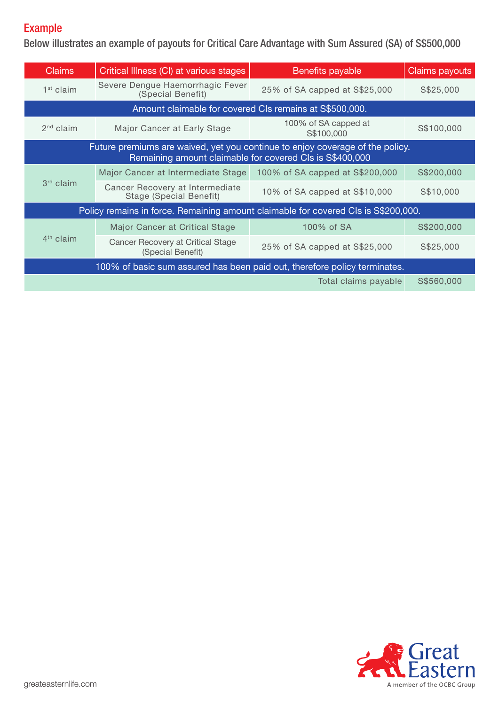## Example

Below illustrates an example of payouts for Critical Care Advantage with Sum Assured (SA) of S\$500,000

| <b>Claims</b>                                                                                                                             | Critical Illness (CI) at various stages                           | <b>Benefits payable</b>            | Claims payouts |  |  |  |  |  |  |
|-------------------------------------------------------------------------------------------------------------------------------------------|-------------------------------------------------------------------|------------------------------------|----------------|--|--|--|--|--|--|
| $1st$ claim                                                                                                                               | Severe Dengue Haemorrhagic Fever<br>(Special Benefit)             | 25% of SA capped at S\$25,000      | S\$25,000      |  |  |  |  |  |  |
| Amount claimable for covered CIs remains at S\$500,000.                                                                                   |                                                                   |                                    |                |  |  |  |  |  |  |
| $2nd$ claim                                                                                                                               | Major Cancer at Early Stage                                       | 100% of SA capped at<br>S\$100,000 | S\$100,000     |  |  |  |  |  |  |
| Future premiums are waived, yet you continue to enjoy coverage of the policy.<br>Remaining amount claimable for covered CIs is S\$400,000 |                                                                   |                                    |                |  |  |  |  |  |  |
|                                                                                                                                           | Major Cancer at Intermediate Stage                                | 100% of SA capped at S\$200,000    | S\$200,000     |  |  |  |  |  |  |
| 3rd claim                                                                                                                                 | Cancer Recovery at Intermediate<br><b>Stage (Special Benefit)</b> | 10% of SA capped at S\$10,000      | S\$10,000      |  |  |  |  |  |  |
| Policy remains in force. Remaining amount claimable for covered CIs is S\$200,000.                                                        |                                                                   |                                    |                |  |  |  |  |  |  |
|                                                                                                                                           | Major Cancer at Critical Stage                                    | 100% of SA                         | S\$200,000     |  |  |  |  |  |  |
| $4th$ claim                                                                                                                               | Cancer Recovery at Critical Stage<br>(Special Benefit)            | 25% of SA capped at S\$25,000      | S\$25,000      |  |  |  |  |  |  |
| 100% of basic sum assured has been paid out, therefore policy terminates.                                                                 |                                                                   |                                    |                |  |  |  |  |  |  |
| Total claims payable                                                                                                                      |                                                                   |                                    |                |  |  |  |  |  |  |

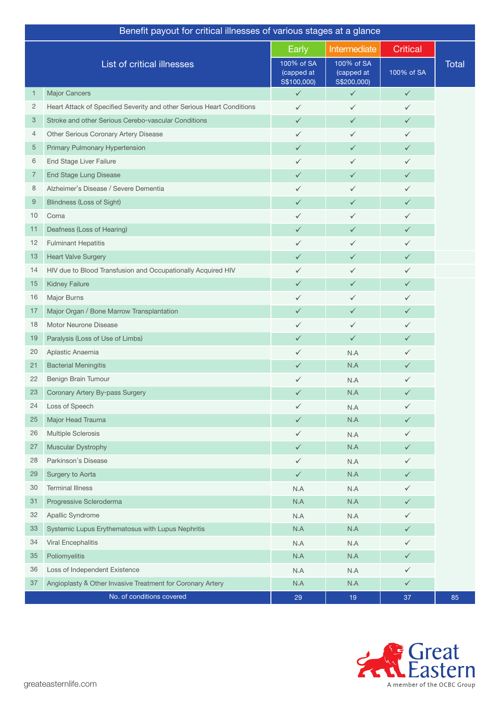| Intermediate<br><b>Critical</b><br>Early<br>List of critical illnesses<br>100% of SA<br>100% of SA<br><b>Total</b><br>100% of SA<br>(capped at<br>(capped at<br>S\$200,000)<br>S\$100,000)<br><b>Major Cancers</b><br>$\checkmark$<br>$\checkmark$<br>$\checkmark$<br>1<br>2<br>Heart Attack of Specified Severity and other Serious Heart Conditions<br>$\checkmark$<br>$\checkmark$<br>✓<br>Stroke and other Serious Cerebo-vascular Conditions<br>3<br>$\checkmark$<br>$\checkmark$<br>✓<br>Other Serious Coronary Artery Disease<br>4<br>✓<br>$\checkmark$<br>$\checkmark$<br>5<br>Primary Pulmonary Hypertension<br>$\checkmark$<br>$\checkmark$<br>✓<br>End Stage Liver Failure<br>6<br>✓<br>$\checkmark$<br>✓<br><b>End Stage Lung Disease</b><br>7<br>$\checkmark$<br>$\checkmark$<br>✓<br>Alzheimer's Disease / Severe Dementia<br>8<br>✓<br>$\checkmark$<br>✓<br>9<br><b>Blindness (Loss of Sight)</b><br>$\checkmark$<br>$\checkmark$<br>✓<br>10<br>Coma<br>✓<br>$\checkmark$<br>✓<br>Deafness (Loss of Hearing)<br>11<br>$\checkmark$<br>✓<br>✓<br>12<br><b>Fulminant Hepatitis</b><br>✓<br>$\checkmark$<br>✓<br>13<br><b>Heart Valve Surgery</b><br>$\checkmark$<br>$\checkmark$<br>$\checkmark$<br>HIV due to Blood Transfusion and Occupationally Acquired HIV<br>14<br>✓<br>$\checkmark$<br>✓<br><b>Kidney Failure</b><br>15<br>$\checkmark$<br>$\checkmark$<br>✓<br>16<br>Major Burns<br>$\checkmark$<br>✓<br>✓<br>Major Organ / Bone Marrow Transplantation<br>17<br>✓<br>$\checkmark$<br>✓<br>Motor Neurone Disease<br>18<br>✓<br>$\checkmark$<br>$\checkmark$<br>19<br>Paralysis (Loss of Use of Limbs)<br>$\checkmark$<br>$\checkmark$<br>✓<br>20<br>Aplastic Anaemia<br>N.A<br>✓<br>✓<br>N.A<br>21<br><b>Bacterial Meningitis</b><br>✓<br>✓<br>22<br>Benign Brain Tumour<br>✓<br>N.A<br>✓<br>N.A<br>23<br>Coronary Artery By-pass Surgery<br>✓<br>✓<br>Loss of Speech<br>24<br>$\checkmark$<br>✓<br>N.A<br>N.A<br>25<br>Major Head Trauma<br>$\checkmark$<br>$\checkmark$<br>Multiple Sclerosis<br>26<br>✓<br>N.A<br>✓<br>Muscular Dystrophy<br>27<br>N.A<br>$\checkmark$<br>$\checkmark$<br>28<br>Parkinson's Disease<br>✓<br>✓<br>N.A<br>Surgery to Aorta<br>N.A<br>29<br>$\checkmark$<br>$\checkmark$<br>30<br><b>Terminal Illness</b><br>N.A<br>N.A<br>✓<br>Progressive Scleroderma<br>N.A<br>31<br>N.A<br>✓<br>32<br>Apallic Syndrome<br>✓<br>N.A<br>N.A<br>33<br>Systemic Lupus Erythematosus with Lupus Nephritis<br>N.A<br>N.A<br>✓<br>Viral Encephalitis<br>34<br>N.A<br>N.A<br>✓<br>Poliomyelitis<br>35<br>N.A<br>N.A<br>✓<br>36<br>Loss of Independent Existence<br>✓<br>N.A<br>N.A<br>Angioplasty & Other Invasive Treatment for Coronary Artery<br>N.A<br>37<br>N.A<br>$\checkmark$<br>No. of conditions covered | Benefit payout for critical illnesses of various stages at a glance |  |    |    |    |    |  |  |
|-----------------------------------------------------------------------------------------------------------------------------------------------------------------------------------------------------------------------------------------------------------------------------------------------------------------------------------------------------------------------------------------------------------------------------------------------------------------------------------------------------------------------------------------------------------------------------------------------------------------------------------------------------------------------------------------------------------------------------------------------------------------------------------------------------------------------------------------------------------------------------------------------------------------------------------------------------------------------------------------------------------------------------------------------------------------------------------------------------------------------------------------------------------------------------------------------------------------------------------------------------------------------------------------------------------------------------------------------------------------------------------------------------------------------------------------------------------------------------------------------------------------------------------------------------------------------------------------------------------------------------------------------------------------------------------------------------------------------------------------------------------------------------------------------------------------------------------------------------------------------------------------------------------------------------------------------------------------------------------------------------------------------------------------------------------------------------------------------------------------------------------------------------------------------------------------------------------------------------------------------------------------------------------------------------------------------------------------------------------------------------------------------------------------------------------------------------------------------------------------------------------------------------------------------------------------------------------------------------------------------------------------------------------------------------------------------------------------------------------------------------|---------------------------------------------------------------------|--|----|----|----|----|--|--|
|                                                                                                                                                                                                                                                                                                                                                                                                                                                                                                                                                                                                                                                                                                                                                                                                                                                                                                                                                                                                                                                                                                                                                                                                                                                                                                                                                                                                                                                                                                                                                                                                                                                                                                                                                                                                                                                                                                                                                                                                                                                                                                                                                                                                                                                                                                                                                                                                                                                                                                                                                                                                                                                                                                                                                     |                                                                     |  |    |    |    |    |  |  |
|                                                                                                                                                                                                                                                                                                                                                                                                                                                                                                                                                                                                                                                                                                                                                                                                                                                                                                                                                                                                                                                                                                                                                                                                                                                                                                                                                                                                                                                                                                                                                                                                                                                                                                                                                                                                                                                                                                                                                                                                                                                                                                                                                                                                                                                                                                                                                                                                                                                                                                                                                                                                                                                                                                                                                     |                                                                     |  |    |    |    |    |  |  |
|                                                                                                                                                                                                                                                                                                                                                                                                                                                                                                                                                                                                                                                                                                                                                                                                                                                                                                                                                                                                                                                                                                                                                                                                                                                                                                                                                                                                                                                                                                                                                                                                                                                                                                                                                                                                                                                                                                                                                                                                                                                                                                                                                                                                                                                                                                                                                                                                                                                                                                                                                                                                                                                                                                                                                     |                                                                     |  |    |    |    |    |  |  |
|                                                                                                                                                                                                                                                                                                                                                                                                                                                                                                                                                                                                                                                                                                                                                                                                                                                                                                                                                                                                                                                                                                                                                                                                                                                                                                                                                                                                                                                                                                                                                                                                                                                                                                                                                                                                                                                                                                                                                                                                                                                                                                                                                                                                                                                                                                                                                                                                                                                                                                                                                                                                                                                                                                                                                     |                                                                     |  |    |    |    |    |  |  |
|                                                                                                                                                                                                                                                                                                                                                                                                                                                                                                                                                                                                                                                                                                                                                                                                                                                                                                                                                                                                                                                                                                                                                                                                                                                                                                                                                                                                                                                                                                                                                                                                                                                                                                                                                                                                                                                                                                                                                                                                                                                                                                                                                                                                                                                                                                                                                                                                                                                                                                                                                                                                                                                                                                                                                     |                                                                     |  |    |    |    |    |  |  |
|                                                                                                                                                                                                                                                                                                                                                                                                                                                                                                                                                                                                                                                                                                                                                                                                                                                                                                                                                                                                                                                                                                                                                                                                                                                                                                                                                                                                                                                                                                                                                                                                                                                                                                                                                                                                                                                                                                                                                                                                                                                                                                                                                                                                                                                                                                                                                                                                                                                                                                                                                                                                                                                                                                                                                     |                                                                     |  |    |    |    |    |  |  |
|                                                                                                                                                                                                                                                                                                                                                                                                                                                                                                                                                                                                                                                                                                                                                                                                                                                                                                                                                                                                                                                                                                                                                                                                                                                                                                                                                                                                                                                                                                                                                                                                                                                                                                                                                                                                                                                                                                                                                                                                                                                                                                                                                                                                                                                                                                                                                                                                                                                                                                                                                                                                                                                                                                                                                     |                                                                     |  |    |    |    |    |  |  |
|                                                                                                                                                                                                                                                                                                                                                                                                                                                                                                                                                                                                                                                                                                                                                                                                                                                                                                                                                                                                                                                                                                                                                                                                                                                                                                                                                                                                                                                                                                                                                                                                                                                                                                                                                                                                                                                                                                                                                                                                                                                                                                                                                                                                                                                                                                                                                                                                                                                                                                                                                                                                                                                                                                                                                     |                                                                     |  |    |    |    |    |  |  |
|                                                                                                                                                                                                                                                                                                                                                                                                                                                                                                                                                                                                                                                                                                                                                                                                                                                                                                                                                                                                                                                                                                                                                                                                                                                                                                                                                                                                                                                                                                                                                                                                                                                                                                                                                                                                                                                                                                                                                                                                                                                                                                                                                                                                                                                                                                                                                                                                                                                                                                                                                                                                                                                                                                                                                     |                                                                     |  |    |    |    |    |  |  |
|                                                                                                                                                                                                                                                                                                                                                                                                                                                                                                                                                                                                                                                                                                                                                                                                                                                                                                                                                                                                                                                                                                                                                                                                                                                                                                                                                                                                                                                                                                                                                                                                                                                                                                                                                                                                                                                                                                                                                                                                                                                                                                                                                                                                                                                                                                                                                                                                                                                                                                                                                                                                                                                                                                                                                     |                                                                     |  |    |    |    |    |  |  |
|                                                                                                                                                                                                                                                                                                                                                                                                                                                                                                                                                                                                                                                                                                                                                                                                                                                                                                                                                                                                                                                                                                                                                                                                                                                                                                                                                                                                                                                                                                                                                                                                                                                                                                                                                                                                                                                                                                                                                                                                                                                                                                                                                                                                                                                                                                                                                                                                                                                                                                                                                                                                                                                                                                                                                     |                                                                     |  |    |    |    |    |  |  |
|                                                                                                                                                                                                                                                                                                                                                                                                                                                                                                                                                                                                                                                                                                                                                                                                                                                                                                                                                                                                                                                                                                                                                                                                                                                                                                                                                                                                                                                                                                                                                                                                                                                                                                                                                                                                                                                                                                                                                                                                                                                                                                                                                                                                                                                                                                                                                                                                                                                                                                                                                                                                                                                                                                                                                     |                                                                     |  |    |    |    |    |  |  |
|                                                                                                                                                                                                                                                                                                                                                                                                                                                                                                                                                                                                                                                                                                                                                                                                                                                                                                                                                                                                                                                                                                                                                                                                                                                                                                                                                                                                                                                                                                                                                                                                                                                                                                                                                                                                                                                                                                                                                                                                                                                                                                                                                                                                                                                                                                                                                                                                                                                                                                                                                                                                                                                                                                                                                     |                                                                     |  |    |    |    |    |  |  |
|                                                                                                                                                                                                                                                                                                                                                                                                                                                                                                                                                                                                                                                                                                                                                                                                                                                                                                                                                                                                                                                                                                                                                                                                                                                                                                                                                                                                                                                                                                                                                                                                                                                                                                                                                                                                                                                                                                                                                                                                                                                                                                                                                                                                                                                                                                                                                                                                                                                                                                                                                                                                                                                                                                                                                     |                                                                     |  |    |    |    |    |  |  |
|                                                                                                                                                                                                                                                                                                                                                                                                                                                                                                                                                                                                                                                                                                                                                                                                                                                                                                                                                                                                                                                                                                                                                                                                                                                                                                                                                                                                                                                                                                                                                                                                                                                                                                                                                                                                                                                                                                                                                                                                                                                                                                                                                                                                                                                                                                                                                                                                                                                                                                                                                                                                                                                                                                                                                     |                                                                     |  |    |    |    |    |  |  |
|                                                                                                                                                                                                                                                                                                                                                                                                                                                                                                                                                                                                                                                                                                                                                                                                                                                                                                                                                                                                                                                                                                                                                                                                                                                                                                                                                                                                                                                                                                                                                                                                                                                                                                                                                                                                                                                                                                                                                                                                                                                                                                                                                                                                                                                                                                                                                                                                                                                                                                                                                                                                                                                                                                                                                     |                                                                     |  |    |    |    |    |  |  |
|                                                                                                                                                                                                                                                                                                                                                                                                                                                                                                                                                                                                                                                                                                                                                                                                                                                                                                                                                                                                                                                                                                                                                                                                                                                                                                                                                                                                                                                                                                                                                                                                                                                                                                                                                                                                                                                                                                                                                                                                                                                                                                                                                                                                                                                                                                                                                                                                                                                                                                                                                                                                                                                                                                                                                     |                                                                     |  |    |    |    |    |  |  |
|                                                                                                                                                                                                                                                                                                                                                                                                                                                                                                                                                                                                                                                                                                                                                                                                                                                                                                                                                                                                                                                                                                                                                                                                                                                                                                                                                                                                                                                                                                                                                                                                                                                                                                                                                                                                                                                                                                                                                                                                                                                                                                                                                                                                                                                                                                                                                                                                                                                                                                                                                                                                                                                                                                                                                     |                                                                     |  |    |    |    |    |  |  |
|                                                                                                                                                                                                                                                                                                                                                                                                                                                                                                                                                                                                                                                                                                                                                                                                                                                                                                                                                                                                                                                                                                                                                                                                                                                                                                                                                                                                                                                                                                                                                                                                                                                                                                                                                                                                                                                                                                                                                                                                                                                                                                                                                                                                                                                                                                                                                                                                                                                                                                                                                                                                                                                                                                                                                     |                                                                     |  |    |    |    |    |  |  |
|                                                                                                                                                                                                                                                                                                                                                                                                                                                                                                                                                                                                                                                                                                                                                                                                                                                                                                                                                                                                                                                                                                                                                                                                                                                                                                                                                                                                                                                                                                                                                                                                                                                                                                                                                                                                                                                                                                                                                                                                                                                                                                                                                                                                                                                                                                                                                                                                                                                                                                                                                                                                                                                                                                                                                     |                                                                     |  |    |    |    |    |  |  |
|                                                                                                                                                                                                                                                                                                                                                                                                                                                                                                                                                                                                                                                                                                                                                                                                                                                                                                                                                                                                                                                                                                                                                                                                                                                                                                                                                                                                                                                                                                                                                                                                                                                                                                                                                                                                                                                                                                                                                                                                                                                                                                                                                                                                                                                                                                                                                                                                                                                                                                                                                                                                                                                                                                                                                     |                                                                     |  |    |    |    |    |  |  |
|                                                                                                                                                                                                                                                                                                                                                                                                                                                                                                                                                                                                                                                                                                                                                                                                                                                                                                                                                                                                                                                                                                                                                                                                                                                                                                                                                                                                                                                                                                                                                                                                                                                                                                                                                                                                                                                                                                                                                                                                                                                                                                                                                                                                                                                                                                                                                                                                                                                                                                                                                                                                                                                                                                                                                     |                                                                     |  |    |    |    |    |  |  |
|                                                                                                                                                                                                                                                                                                                                                                                                                                                                                                                                                                                                                                                                                                                                                                                                                                                                                                                                                                                                                                                                                                                                                                                                                                                                                                                                                                                                                                                                                                                                                                                                                                                                                                                                                                                                                                                                                                                                                                                                                                                                                                                                                                                                                                                                                                                                                                                                                                                                                                                                                                                                                                                                                                                                                     |                                                                     |  |    |    |    |    |  |  |
|                                                                                                                                                                                                                                                                                                                                                                                                                                                                                                                                                                                                                                                                                                                                                                                                                                                                                                                                                                                                                                                                                                                                                                                                                                                                                                                                                                                                                                                                                                                                                                                                                                                                                                                                                                                                                                                                                                                                                                                                                                                                                                                                                                                                                                                                                                                                                                                                                                                                                                                                                                                                                                                                                                                                                     |                                                                     |  |    |    |    |    |  |  |
|                                                                                                                                                                                                                                                                                                                                                                                                                                                                                                                                                                                                                                                                                                                                                                                                                                                                                                                                                                                                                                                                                                                                                                                                                                                                                                                                                                                                                                                                                                                                                                                                                                                                                                                                                                                                                                                                                                                                                                                                                                                                                                                                                                                                                                                                                                                                                                                                                                                                                                                                                                                                                                                                                                                                                     |                                                                     |  |    |    |    |    |  |  |
|                                                                                                                                                                                                                                                                                                                                                                                                                                                                                                                                                                                                                                                                                                                                                                                                                                                                                                                                                                                                                                                                                                                                                                                                                                                                                                                                                                                                                                                                                                                                                                                                                                                                                                                                                                                                                                                                                                                                                                                                                                                                                                                                                                                                                                                                                                                                                                                                                                                                                                                                                                                                                                                                                                                                                     |                                                                     |  |    |    |    |    |  |  |
|                                                                                                                                                                                                                                                                                                                                                                                                                                                                                                                                                                                                                                                                                                                                                                                                                                                                                                                                                                                                                                                                                                                                                                                                                                                                                                                                                                                                                                                                                                                                                                                                                                                                                                                                                                                                                                                                                                                                                                                                                                                                                                                                                                                                                                                                                                                                                                                                                                                                                                                                                                                                                                                                                                                                                     |                                                                     |  |    |    |    |    |  |  |
|                                                                                                                                                                                                                                                                                                                                                                                                                                                                                                                                                                                                                                                                                                                                                                                                                                                                                                                                                                                                                                                                                                                                                                                                                                                                                                                                                                                                                                                                                                                                                                                                                                                                                                                                                                                                                                                                                                                                                                                                                                                                                                                                                                                                                                                                                                                                                                                                                                                                                                                                                                                                                                                                                                                                                     |                                                                     |  |    |    |    |    |  |  |
|                                                                                                                                                                                                                                                                                                                                                                                                                                                                                                                                                                                                                                                                                                                                                                                                                                                                                                                                                                                                                                                                                                                                                                                                                                                                                                                                                                                                                                                                                                                                                                                                                                                                                                                                                                                                                                                                                                                                                                                                                                                                                                                                                                                                                                                                                                                                                                                                                                                                                                                                                                                                                                                                                                                                                     |                                                                     |  |    |    |    |    |  |  |
|                                                                                                                                                                                                                                                                                                                                                                                                                                                                                                                                                                                                                                                                                                                                                                                                                                                                                                                                                                                                                                                                                                                                                                                                                                                                                                                                                                                                                                                                                                                                                                                                                                                                                                                                                                                                                                                                                                                                                                                                                                                                                                                                                                                                                                                                                                                                                                                                                                                                                                                                                                                                                                                                                                                                                     |                                                                     |  |    |    |    |    |  |  |
|                                                                                                                                                                                                                                                                                                                                                                                                                                                                                                                                                                                                                                                                                                                                                                                                                                                                                                                                                                                                                                                                                                                                                                                                                                                                                                                                                                                                                                                                                                                                                                                                                                                                                                                                                                                                                                                                                                                                                                                                                                                                                                                                                                                                                                                                                                                                                                                                                                                                                                                                                                                                                                                                                                                                                     |                                                                     |  |    |    |    |    |  |  |
|                                                                                                                                                                                                                                                                                                                                                                                                                                                                                                                                                                                                                                                                                                                                                                                                                                                                                                                                                                                                                                                                                                                                                                                                                                                                                                                                                                                                                                                                                                                                                                                                                                                                                                                                                                                                                                                                                                                                                                                                                                                                                                                                                                                                                                                                                                                                                                                                                                                                                                                                                                                                                                                                                                                                                     |                                                                     |  |    |    |    |    |  |  |
|                                                                                                                                                                                                                                                                                                                                                                                                                                                                                                                                                                                                                                                                                                                                                                                                                                                                                                                                                                                                                                                                                                                                                                                                                                                                                                                                                                                                                                                                                                                                                                                                                                                                                                                                                                                                                                                                                                                                                                                                                                                                                                                                                                                                                                                                                                                                                                                                                                                                                                                                                                                                                                                                                                                                                     |                                                                     |  |    |    |    |    |  |  |
|                                                                                                                                                                                                                                                                                                                                                                                                                                                                                                                                                                                                                                                                                                                                                                                                                                                                                                                                                                                                                                                                                                                                                                                                                                                                                                                                                                                                                                                                                                                                                                                                                                                                                                                                                                                                                                                                                                                                                                                                                                                                                                                                                                                                                                                                                                                                                                                                                                                                                                                                                                                                                                                                                                                                                     |                                                                     |  |    |    |    |    |  |  |
|                                                                                                                                                                                                                                                                                                                                                                                                                                                                                                                                                                                                                                                                                                                                                                                                                                                                                                                                                                                                                                                                                                                                                                                                                                                                                                                                                                                                                                                                                                                                                                                                                                                                                                                                                                                                                                                                                                                                                                                                                                                                                                                                                                                                                                                                                                                                                                                                                                                                                                                                                                                                                                                                                                                                                     |                                                                     |  |    |    |    |    |  |  |
|                                                                                                                                                                                                                                                                                                                                                                                                                                                                                                                                                                                                                                                                                                                                                                                                                                                                                                                                                                                                                                                                                                                                                                                                                                                                                                                                                                                                                                                                                                                                                                                                                                                                                                                                                                                                                                                                                                                                                                                                                                                                                                                                                                                                                                                                                                                                                                                                                                                                                                                                                                                                                                                                                                                                                     |                                                                     |  |    |    |    |    |  |  |
|                                                                                                                                                                                                                                                                                                                                                                                                                                                                                                                                                                                                                                                                                                                                                                                                                                                                                                                                                                                                                                                                                                                                                                                                                                                                                                                                                                                                                                                                                                                                                                                                                                                                                                                                                                                                                                                                                                                                                                                                                                                                                                                                                                                                                                                                                                                                                                                                                                                                                                                                                                                                                                                                                                                                                     |                                                                     |  |    |    |    |    |  |  |
|                                                                                                                                                                                                                                                                                                                                                                                                                                                                                                                                                                                                                                                                                                                                                                                                                                                                                                                                                                                                                                                                                                                                                                                                                                                                                                                                                                                                                                                                                                                                                                                                                                                                                                                                                                                                                                                                                                                                                                                                                                                                                                                                                                                                                                                                                                                                                                                                                                                                                                                                                                                                                                                                                                                                                     |                                                                     |  |    |    |    |    |  |  |
|                                                                                                                                                                                                                                                                                                                                                                                                                                                                                                                                                                                                                                                                                                                                                                                                                                                                                                                                                                                                                                                                                                                                                                                                                                                                                                                                                                                                                                                                                                                                                                                                                                                                                                                                                                                                                                                                                                                                                                                                                                                                                                                                                                                                                                                                                                                                                                                                                                                                                                                                                                                                                                                                                                                                                     |                                                                     |  |    |    |    |    |  |  |
|                                                                                                                                                                                                                                                                                                                                                                                                                                                                                                                                                                                                                                                                                                                                                                                                                                                                                                                                                                                                                                                                                                                                                                                                                                                                                                                                                                                                                                                                                                                                                                                                                                                                                                                                                                                                                                                                                                                                                                                                                                                                                                                                                                                                                                                                                                                                                                                                                                                                                                                                                                                                                                                                                                                                                     |                                                                     |  | 29 | 19 | 37 | 85 |  |  |